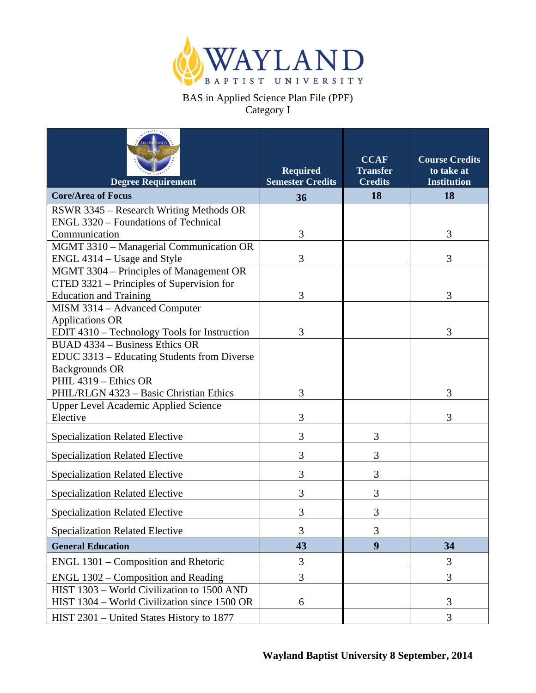

## BAS in Applied Science Plan File (PPF) Category I

| <b>Degree Requirement</b>                               | <b>Required</b><br><b>Semester Credits</b> | <b>CCAF</b><br><b>Transfer</b><br><b>Credits</b> | <b>Course Credits</b><br>to take at<br><b>Institution</b> |
|---------------------------------------------------------|--------------------------------------------|--------------------------------------------------|-----------------------------------------------------------|
| <b>Core/Area of Focus</b>                               | 36                                         | 18                                               | 18                                                        |
| RSWR 3345 – Research Writing Methods OR                 |                                            |                                                  |                                                           |
| ENGL 3320 – Foundations of Technical                    |                                            |                                                  |                                                           |
| Communication                                           | 3                                          |                                                  | 3                                                         |
| MGMT 3310 - Managerial Communication OR                 |                                            |                                                  |                                                           |
| ENGL 4314 – Usage and Style                             | 3                                          |                                                  | 3                                                         |
| MGMT 3304 – Principles of Management OR                 |                                            |                                                  |                                                           |
| CTED 3321 – Principles of Supervision for               |                                            |                                                  |                                                           |
| <b>Education and Training</b>                           | 3                                          |                                                  | 3                                                         |
| MISM 3314 - Advanced Computer                           |                                            |                                                  |                                                           |
| <b>Applications OR</b>                                  |                                            |                                                  |                                                           |
| EDIT 4310 – Technology Tools for Instruction            | 3                                          |                                                  | 3                                                         |
| BUAD 4334 - Business Ethics OR                          |                                            |                                                  |                                                           |
| EDUC 3313 - Educating Students from Diverse             |                                            |                                                  |                                                           |
| <b>Backgrounds OR</b>                                   |                                            |                                                  |                                                           |
| PHIL 4319 - Ethics OR                                   |                                            |                                                  | 3                                                         |
| PHIL/RLGN 4323 - Basic Christian Ethics                 | 3                                          |                                                  |                                                           |
| <b>Upper Level Academic Applied Science</b><br>Elective | 3                                          |                                                  | 3                                                         |
|                                                         |                                            |                                                  |                                                           |
| <b>Specialization Related Elective</b>                  | 3                                          | 3                                                |                                                           |
| <b>Specialization Related Elective</b>                  | 3                                          | 3                                                |                                                           |
| <b>Specialization Related Elective</b>                  | 3                                          | 3                                                |                                                           |
| <b>Specialization Related Elective</b>                  | 3                                          | 3                                                |                                                           |
| <b>Specialization Related Elective</b>                  | 3                                          | 3                                                |                                                           |
| <b>Specialization Related Elective</b>                  | 3                                          | 3                                                |                                                           |
| <b>General Education</b>                                | 43                                         | 9                                                | 34                                                        |
| ENGL 1301 – Composition and Rhetoric                    | 3                                          |                                                  | 3                                                         |
| ENGL 1302 - Composition and Reading                     | 3                                          |                                                  | 3                                                         |
| HIST 1303 - World Civilization to 1500 AND              |                                            |                                                  |                                                           |
| HIST 1304 - World Civilization since 1500 OR            | 6                                          |                                                  | 3                                                         |
| HIST 2301 – United States History to 1877               |                                            |                                                  | 3                                                         |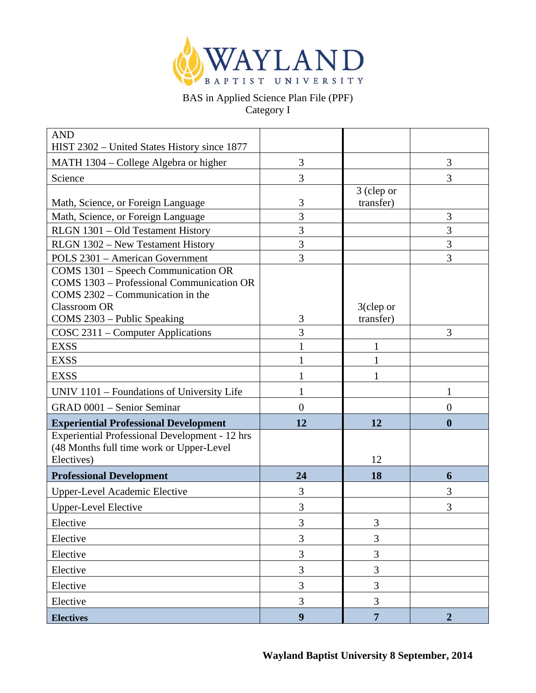

## BAS in Applied Science Plan File (PPF) Category I

| <b>AND</b><br>HIST 2302 – United States History since 1877 |                |                           |                  |
|------------------------------------------------------------|----------------|---------------------------|------------------|
| MATH 1304 – College Algebra or higher                      | 3              |                           | 3                |
| Science                                                    | 3              |                           | 3                |
|                                                            |                | 3 (clep or                |                  |
| Math, Science, or Foreign Language                         | 3              | transfer)                 |                  |
| Math, Science, or Foreign Language                         | 3              |                           | 3                |
| RLGN 1301 - Old Testament History                          | $\overline{3}$ |                           | 3                |
| RLGN 1302 - New Testament History                          | $\overline{3}$ |                           | 3                |
| POLS 2301 - American Government                            | 3              |                           | 3                |
| COMS 1301 - Speech Communication OR                        |                |                           |                  |
| COMS 1303 - Professional Communication OR                  |                |                           |                  |
| COMS 2302 – Communication in the<br><b>Classroom OR</b>    |                |                           |                  |
| COMS 2303 - Public Speaking                                | 3              | $3$ (clep or<br>transfer) |                  |
| COSC 2311 – Computer Applications                          | 3              |                           | 3                |
| <b>EXSS</b>                                                | 1              | $\mathbf{1}$              |                  |
| <b>EXSS</b>                                                |                | 1                         |                  |
| <b>EXSS</b>                                                |                |                           |                  |
| UNIV 1101 - Foundations of University Life                 |                |                           | 1                |
| GRAD 0001 - Senior Seminar                                 | $\overline{0}$ |                           | $\boldsymbol{0}$ |
| <b>Experiential Professional Development</b>               | 12             | 12                        | $\boldsymbol{0}$ |
| <b>Experiential Professional Development - 12 hrs</b>      |                |                           |                  |
| (48 Months full time work or Upper-Level                   |                |                           |                  |
| Electives)                                                 |                | 12                        |                  |
| <b>Professional Development</b>                            | 24             | 18                        | 6                |
| <b>Upper-Level Academic Elective</b>                       | 3              |                           | 3                |
| <b>Upper-Level Elective</b>                                | 3              |                           | 3                |
| Elective                                                   | 3              | 3                         |                  |
| Elective                                                   | 3              | 3                         |                  |
| Elective                                                   | 3              | 3                         |                  |
| Elective                                                   | 3              | 3                         |                  |
| Elective                                                   | 3              | 3                         |                  |
| Elective                                                   | 3              | $\overline{3}$            |                  |
| <b>Electives</b>                                           | 9 <sup>1</sup> | $\overline{7}$            | $\boldsymbol{2}$ |